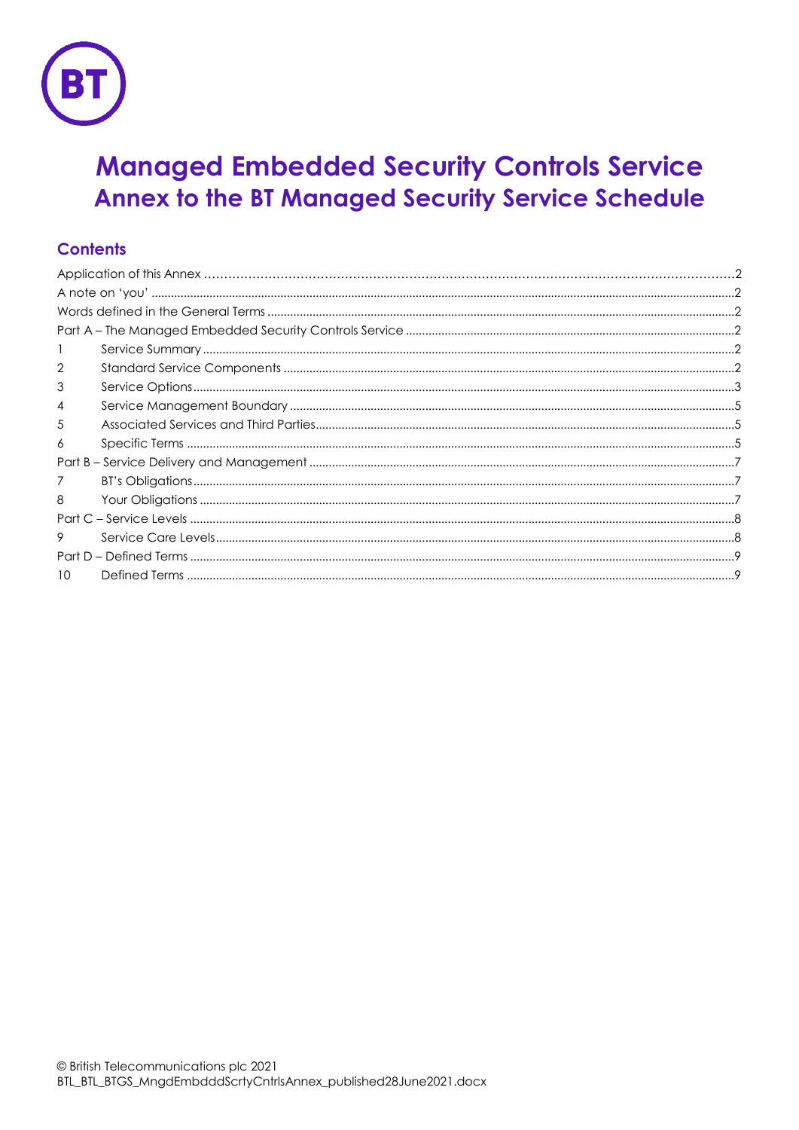

# **Managed Embedded Security Controls Service** Annex to the BT Managed Security Service Schedule

# **Contents**

| $\overline{2}$ |  |
|----------------|--|
| 3              |  |
| 4              |  |
| 5              |  |
| 6              |  |
|                |  |
|                |  |
| 8              |  |
|                |  |
| 9              |  |
|                |  |
| 10             |  |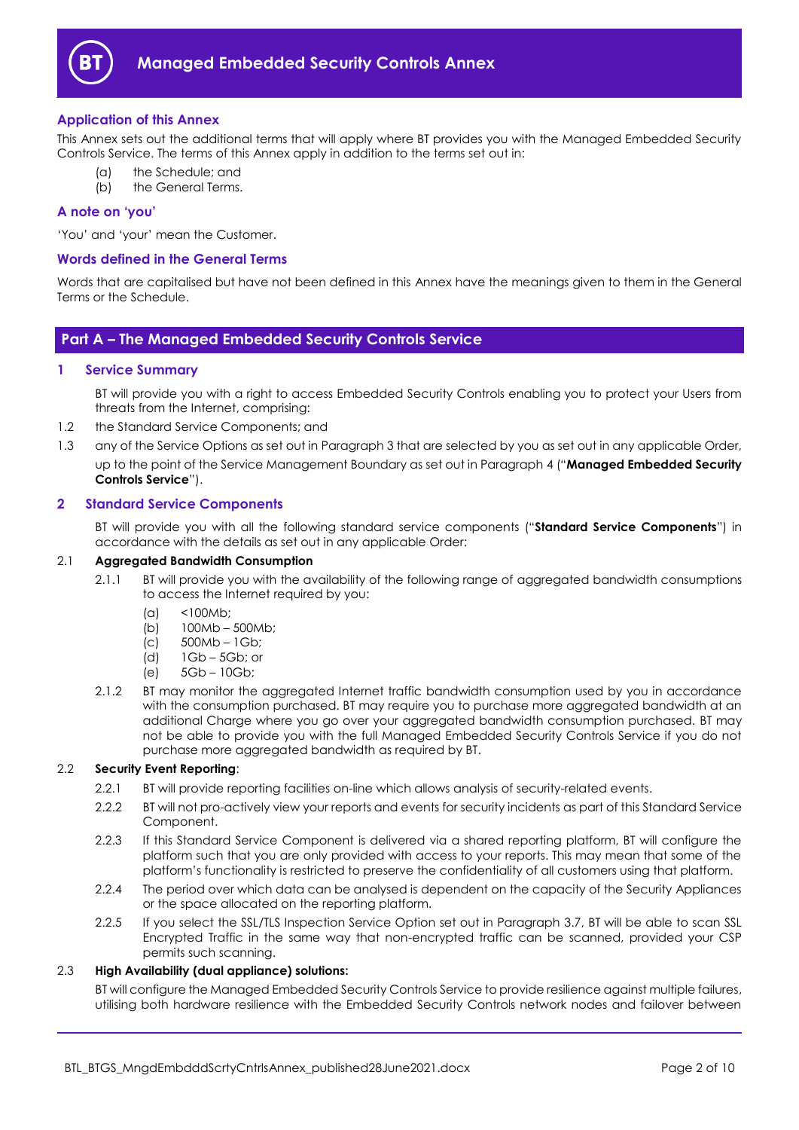

# <span id="page-1-0"></span>**Application of this Annex**

This Annex sets out the additional terms that will apply where BT provides you with the Managed Embedded Security Controls Service. The terms of this Annex apply in addition to the terms set out in:

- the Schedule; and
- (b) the General Terms.

# <span id="page-1-1"></span>**A note on 'you'**

'You' and 'your' mean the Customer.

## <span id="page-1-2"></span>**Words defined in the General Terms**

Words that are capitalised but have not been defined in this Annex have the meanings given to them in the General Terms or the Schedule.

# <span id="page-1-3"></span>**Part A – The Managed Embedded Security Controls Service**

## <span id="page-1-4"></span>**1 Service Summary**

BT will provide you with a right to access Embedded Security Controls enabling you to protect your Users from threats from the Internet, comprising:

- 1.2 the Standard Service Components; and
- 1.3 any of the Service Options as set out in Paragrap[h 3](#page-2-0) that are selected by you as set out in any applicable Order, up to the point of the Service Management Boundary as set out in Paragraph [4](#page-4-0) ("**Managed Embedded Security Controls Service**").

# <span id="page-1-5"></span>**2 Standard Service Components**

BT will provide you with all the following standard service components ("**Standard Service Components**") in accordance with the details as set out in any applicable Order:

#### 2.1 **Aggregated Bandwidth Consumption**

- 2.1.1 BT will provide you with the availability of the following range of aggregated bandwidth consumptions to access the Internet required by you:
	- (a) <100Mb;
	- $(b)$  100Mb 500Mb;
	- $|c|$  500Mb 1Gb;
	- (d) 1Gb 5Gb; or
	- (e) 5Gb 10Gb;
- <span id="page-1-6"></span>2.1.2 BT may monitor the aggregated Internet traffic bandwidth consumption used by you in accordance with the consumption purchased. BT may require you to purchase more aggregated bandwidth at an additional Charge where you go over your aggregated bandwidth consumption purchased. BT may not be able to provide you with the full Managed Embedded Security Controls Service if you do not purchase more aggregated bandwidth as required by BT.

# 2.2 **Security Event Reporting**:

- 2.2.1 BT will provide reporting facilities on-line which allows analysis of security-related events.
- 2.2.2 BT will not pro-actively view your reports and events for security incidents as part of this Standard Service Component.
- 2.2.3 If this Standard Service Component is delivered via a shared reporting platform, BT will configure the platform such that you are only provided with access to your reports. This may mean that some of the platform's functionality is restricted to preserve the confidentiality of all customers using that platform.
- 2.2.4 The period over which data can be analysed is dependent on the capacity of the Security Appliances or the space allocated on the reporting platform.
- 2.2.5 If you select the SSL/TLS Inspection Service Option set out in Paragraph [3.7,](#page-3-0) BT will be able to scan SSL Encrypted Traffic in the same way that non-encrypted traffic can be scanned, provided your CSP permits such scanning.

## 2.3 **High Availability (dual appliance) solutions:**

BT will configure the Managed Embedded Security Controls Service to provide resilience against multiple failures, utilising both hardware resilience with the Embedded Security Controls network nodes and failover between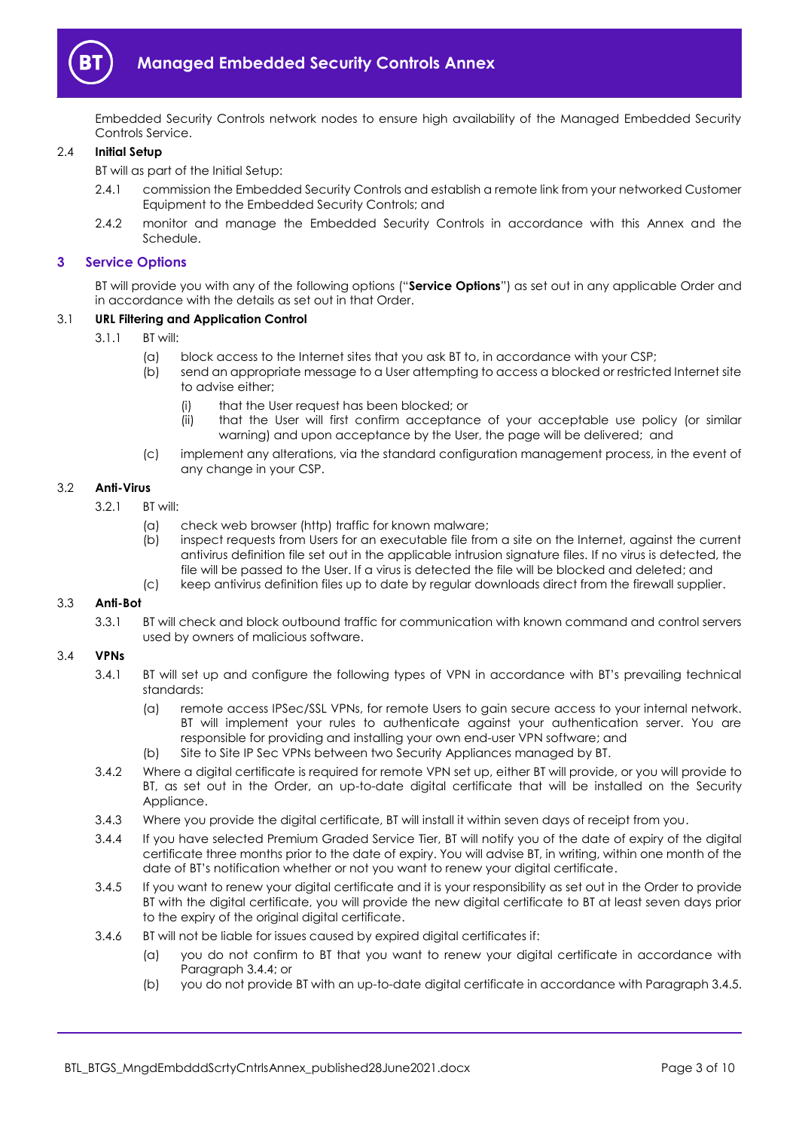

Embedded Security Controls network nodes to ensure high availability of the Managed Embedded Security Controls Service.

## 2.4 **Initial Setup**

BT will as part of the Initial Setup:

- 2.4.1 commission the Embedded Security Controls and establish a remote link from your networked Customer Equipment to the Embedded Security Controls; and
- 2.4.2 monitor and manage the Embedded Security Controls in accordance with this Annex and the Schedule.

#### <span id="page-2-0"></span>**3 Service Options**

BT will provide you with any of the following options ("**Service Options**") as set out in any applicable Order and in accordance with the details as set out in that Order.

#### 3.1 **URL Filtering and Application Control**

- 3.1.1 BT will:
	- (a) block access to the Internet sites that you ask BT to, in accordance with your CSP;
	- (b) send an appropriate message to a User attempting to access a blocked or restricted Internet site to advise either;
		- (i) that the User request has been blocked; or
		- (ii) that the User will first confirm acceptance of your acceptable use policy (or similar warning) and upon acceptance by the User, the page will be delivered; and
	- (c) implement any alterations, via the standard configuration management process, in the event of any change in your CSP.

#### 3.2 **Anti-Virus**

- 3.2.1 BT will:
	- (a) check web browser (http) traffic for known malware;
	- (b) inspect requests from Users for an executable file from a site on the Internet, against the current antivirus definition file set out in the applicable intrusion signature files. If no virus is detected, the file will be passed to the User. If a virus is detected the file will be blocked and deleted; and
	- (c) keep antivirus definition files up to date by regular downloads direct from the firewall supplier.

#### 3.3 **Anti-Bot**

3.3.1 BT will check and block outbound traffic for communication with known command and control servers used by owners of malicious software.

#### 3.4 **VPNs**

- 3.4.1 BT will set up and configure the following types of VPN in accordance with BT's prevailing technical standards:
	- (a) remote access IPSec/SSL VPNs, for remote Users to gain secure access to your internal network. BT will implement your rules to authenticate against your authentication server. You are responsible for providing and installing your own end-user VPN software; and
	- (b) Site to Site IP Sec VPNs between two Security Appliances managed by BT.
- <span id="page-2-3"></span>3.4.2 Where a digital certificate is required for remote VPN set up, either BT will provide, or you will provide to BT, as set out in the Order, an up-to-date digital certificate that will be installed on the Security Appliance.
- 3.4.3 Where you provide the digital certificate, BT will install it within seven days of receipt from you.
- <span id="page-2-1"></span>3.4.4 If you have selected Premium Graded Service Tier, BT will notify you of the date of expiry of the digital certificate three months prior to the date of expiry. You will advise BT, in writing, within one month of the date of BT's notification whether or not you want to renew your digital certificate.
- <span id="page-2-2"></span>3.4.5 If you want to renew your digital certificate and it is your responsibility as set out in the Order to provide BT with the digital certificate, you will provide the new digital certificate to BT at least seven days prior to the expiry of the original digital certificate.
- <span id="page-2-4"></span>3.4.6 BT will not be liable for issues caused by expired digital certificates if:
	- (a) you do not confirm to BT that you want to renew your digital certificate in accordance with Paragraph [3.4.4;](#page-2-1) or
	- (b) you do not provide BT with an up-to-date digital certificate in accordance with Paragrap[h 3.4.5.](#page-2-2)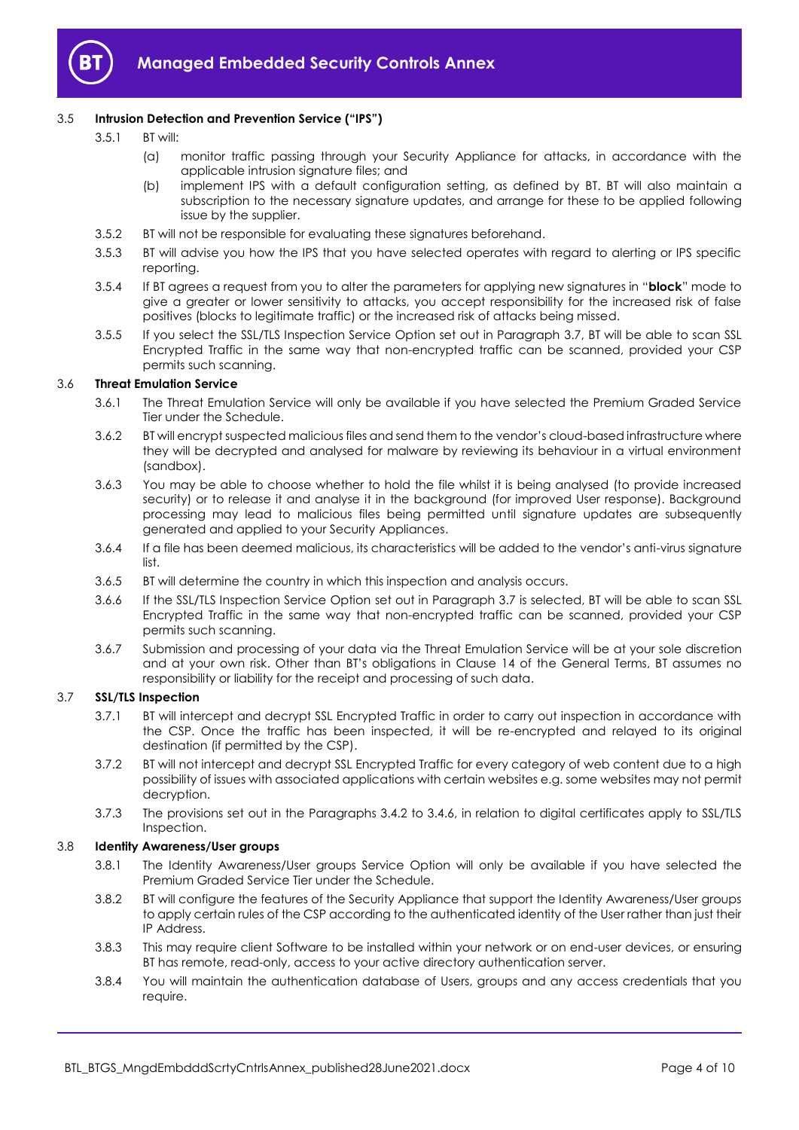

# 3.5 **Intrusion Detection and Prevention Service ("IPS")**

- 3.5.1 BT will:
	- (a) monitor traffic passing through your Security Appliance for attacks, in accordance with the applicable intrusion signature files; and
	- (b) implement IPS with a default configuration setting, as defined by BT. BT will also maintain a subscription to the necessary signature updates, and arrange for these to be applied following issue by the supplier.
- 3.5.2 BT will not be responsible for evaluating these signatures beforehand.
- 3.5.3 BT will advise you how the IPS that you have selected operates with regard to alerting or IPS specific reporting.
- 3.5.4 If BT agrees a request from you to alter the parameters for applying new signatures in "**block**" mode to give a greater or lower sensitivity to attacks, you accept responsibility for the increased risk of false positives (blocks to legitimate traffic) or the increased risk of attacks being missed.
- 3.5.5 If you select the SSL/TLS Inspection Service Option set out in Paragraph [3.7,](#page-3-0) BT will be able to scan SSL Encrypted Traffic in the same way that non-encrypted traffic can be scanned, provided your CSP permits such scanning.

## <span id="page-3-2"></span>3.6 **Threat Emulation Service**

- 3.6.1 The Threat Emulation Service will only be available if you have selected the Premium Graded Service Tier under the Schedule.
- 3.6.2 BT will encrypt suspected malicious files and send them to the vendor's cloud-based infrastructure where they will be decrypted and analysed for malware by reviewing its behaviour in a virtual environment (sandbox).
- 3.6.3 You may be able to choose whether to hold the file whilst it is being analysed (to provide increased security) or to release it and analyse it in the background (for improved User response). Background processing may lead to malicious files being permitted until signature updates are subsequently generated and applied to your Security Appliances.
- 3.6.4 If a file has been deemed malicious, its characteristics will be added to the vendor's anti-virus signature list.
- 3.6.5 BT will determine the country in which this inspection and analysis occurs.
- 3.6.6 If the SSL/TLS Inspection Service Option set out in Paragraph [3.7](#page-3-0) is selected, BT will be able to scan SSL Encrypted Traffic in the same way that non-encrypted traffic can be scanned, provided your CSP permits such scanning.
- 3.6.7 Submission and processing of your data via the Threat Emulation Service will be at your sole discretion and at your own risk. Other than BT's obligations in Clause 14 of the General Terms, BT assumes no responsibility or liability for the receipt and processing of such data.

# <span id="page-3-0"></span>3.7 **SSL/TLS Inspection**

- 3.7.1 BT will intercept and decrypt SSL Encrypted Traffic in order to carry out inspection in accordance with the CSP. Once the traffic has been inspected, it will be re-encrypted and relayed to its original destination (if permitted by the CSP).
- 3.7.2 BT will not intercept and decrypt SSL Encrypted Traffic for every category of web content due to a high possibility of issues with associated applications with certain websites e.g. some websites may not permit decryption.
- 3.7.3 The provisions set out in the Paragraphs [3.4.2](#page-2-3) to [3.4.6,](#page-2-4) in relation to digital certificates apply to SSL/TLS Inspection.

#### <span id="page-3-1"></span>3.8 **Identity Awareness/User groups**

- 3.8.1 The Identity Awareness/User groups Service Option will only be available if you have selected the Premium Graded Service Tier under the Schedule.
- 3.8.2 BT will configure the features of the Security Appliance that support the Identity Awareness/User groups to apply certain rules of the CSP according to the authenticated identity of the User rather than just their IP Address.
- 3.8.3 This may require client Software to be installed within your network or on end-user devices, or ensuring BT has remote, read-only, access to your active directory authentication server.
- 3.8.4 You will maintain the authentication database of Users, groups and any access credentials that you require.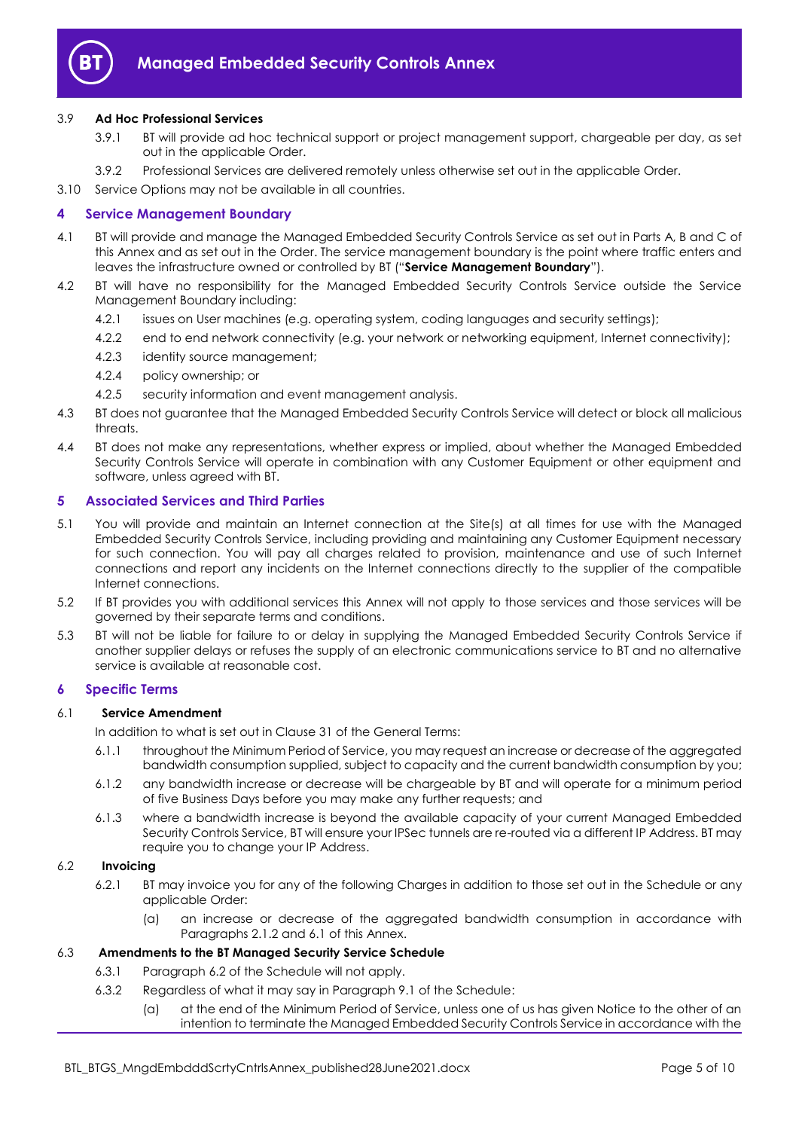

# 3.9 **Ad Hoc Professional Services**

- 3.9.1 BT will provide ad hoc technical support or project management support, chargeable per day, as set out in the applicable Order.
- 3.9.2 Professional Services are delivered remotely unless otherwise set out in the applicable Order.

3.10 Service Options may not be available in all countries.

# <span id="page-4-0"></span>**4 Service Management Boundary**

- <span id="page-4-8"></span>4.1 BT will provide and manage the Managed Embedded Security Controls Service as set out in Parts A, B and C of this Annex and as set out in the Order. The service management boundary is the point where traffic enters and leaves the infrastructure owned or controlled by BT ("**Service Management Boundary**").
- 4.2 BT will have no responsibility for the Managed Embedded Security Controls Service outside the Service Management Boundary including:
	- 4.2.1 issues on User machines (e.g. operating system, coding languages and security settings);
	- 4.2.2 end to end network connectivity (e.g. your network or networking equipment, Internet connectivity);
	- 4.2.3 identity source management;
	- 4.2.4 policy ownership; or
	- 4.2.5 security information and event management analysis.
- 4.3 BT does not guarantee that the Managed Embedded Security Controls Service will detect or block all malicious threats
- 4.4 BT does not make any representations, whether express or implied, about whether the Managed Embedded Security Controls Service will operate in combination with any Customer Equipment or other equipment and software, unless agreed with BT.

# <span id="page-4-1"></span>**5 Associated Services and Third Parties**

- <span id="page-4-7"></span>5.1 You will provide and maintain an Internet connection at the Site(s) at all times for use with the Managed Embedded Security Controls Service, including providing and maintaining any Customer Equipment necessary for such connection. You will pay all charges related to provision, maintenance and use of such Internet connections and report any incidents on the Internet connections directly to the supplier of the compatible Internet connections.
- 5.2 If BT provides you with additional services this Annex will not apply to those services and those services will be governed by their separate terms and conditions.
- 5.3 BT will not be liable for failure to or delay in supplying the Managed Embedded Security Controls Service if another supplier delays or refuses the supply of an electronic communications service to BT and no alternative service is available at reasonable cost.

# <span id="page-4-2"></span>**6 Specific Terms**

# 6.1 **Service Amendment**

<span id="page-4-3"></span>In addition to what is set out in Clause 31 of the General Terms:

- 6.1.1 throughout the Minimum Period of Service, you may request an increase or decrease of the aggregated bandwidth consumption supplied, subject to capacity and the current bandwidth consumption by you;
- 6.1.2 any bandwidth increase or decrease will be chargeable by BT and will operate for a minimum period of five Business Days before you may make any further requests; and
- <span id="page-4-6"></span>6.1.3 where a bandwidth increase is beyond the available capacity of your current Managed Embedded Security Controls Service, BT will ensure your IPSec tunnels are re-routed via a different IP Address. BT may require you to change your IP Address.

# 6.2 **Invoicing**

- 6.2.1 BT may invoice you for any of the following Charges in addition to those set out in the Schedule or any applicable Order:
	- (a) an increase or decrease of the aggregated bandwidth consumption in accordance with Paragraph[s 2.1.2](#page-1-6) and [6.1](#page-4-3) of this Annex.

## <span id="page-4-4"></span>6.3 **Amendments to the BT Managed Security Service Schedule**

- 6.3.1 Paragraph 6.2 of the Schedule will not apply.
- <span id="page-4-5"></span>6.3.2 Regardless of what it may say in Paragraph 9.1 of the Schedule:
	- (a) at the end of the Minimum Period of Service, unless one of us has given Notice to the other of an intention to terminate the Managed Embedded Security Controls Service in accordance with the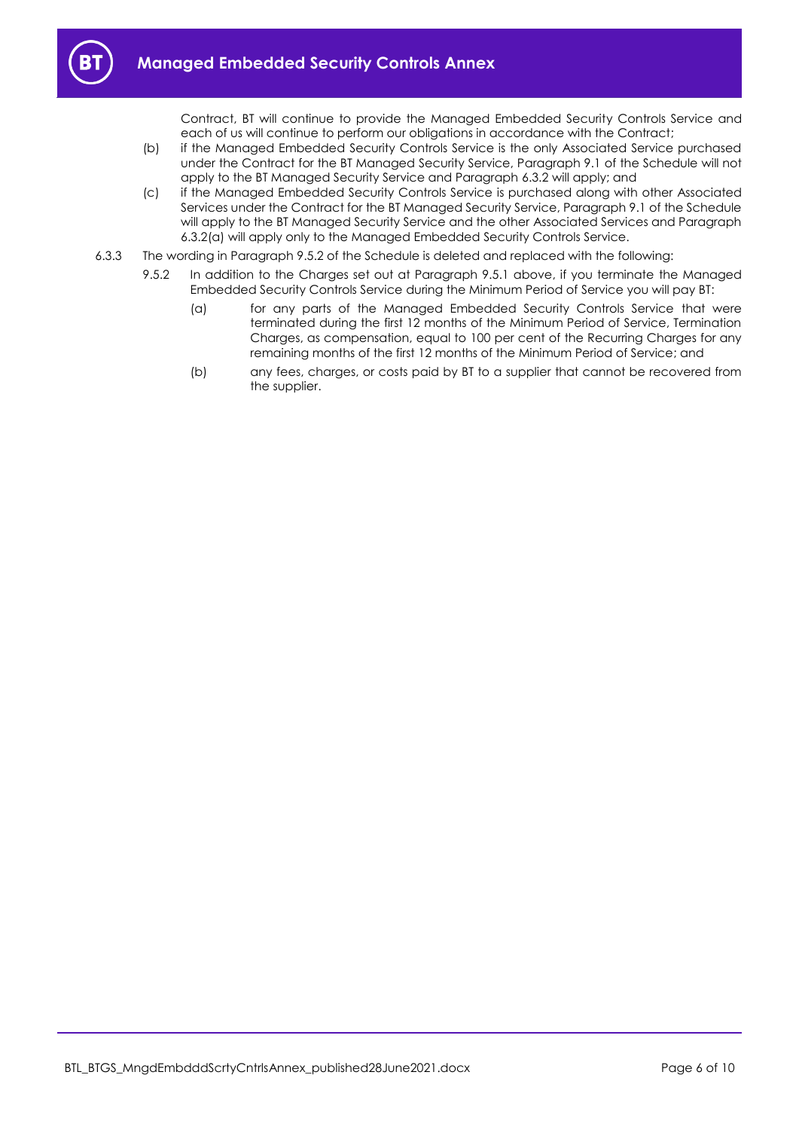

Contract, BT will continue to provide the Managed Embedded Security Controls Service and each of us will continue to perform our obligations in accordance with the Contract;

- (b) if the Managed Embedded Security Controls Service is the only Associated Service purchased under the Contract for the BT Managed Security Service, Paragraph 9.1 of the Schedule will not apply to the BT Managed Security Service and Paragraph [6.3.2](#page-4-4) will apply; and
- (c) if the Managed Embedded Security Controls Service is purchased along with other Associated Services under the Contract for the BT Managed Security Service, Paragraph 9.1 of the Schedule will apply to the BT Managed Security Service and the other Associated Services and Paragraph [6.3.2\(a\)](#page-4-5) will apply only to the Managed Embedded Security Controls Service.
- 6.3.3 The wording in Paragraph 9.5.2 of the Schedule is deleted and replaced with the following:
	- 9.5.2 In addition to the Charges set out at Paragraph 9.5.1 above, if you terminate the Managed Embedded Security Controls Service during the Minimum Period of Service you will pay BT:
		- (a) for any parts of the Managed Embedded Security Controls Service that were terminated during the first 12 months of the Minimum Period of Service, Termination Charges, as compensation, equal to 100 per cent of the Recurring Charges for any remaining months of the first 12 months of the Minimum Period of Service; and
		- (b) any fees, charges, or costs paid by BT to a supplier that cannot be recovered from the supplier.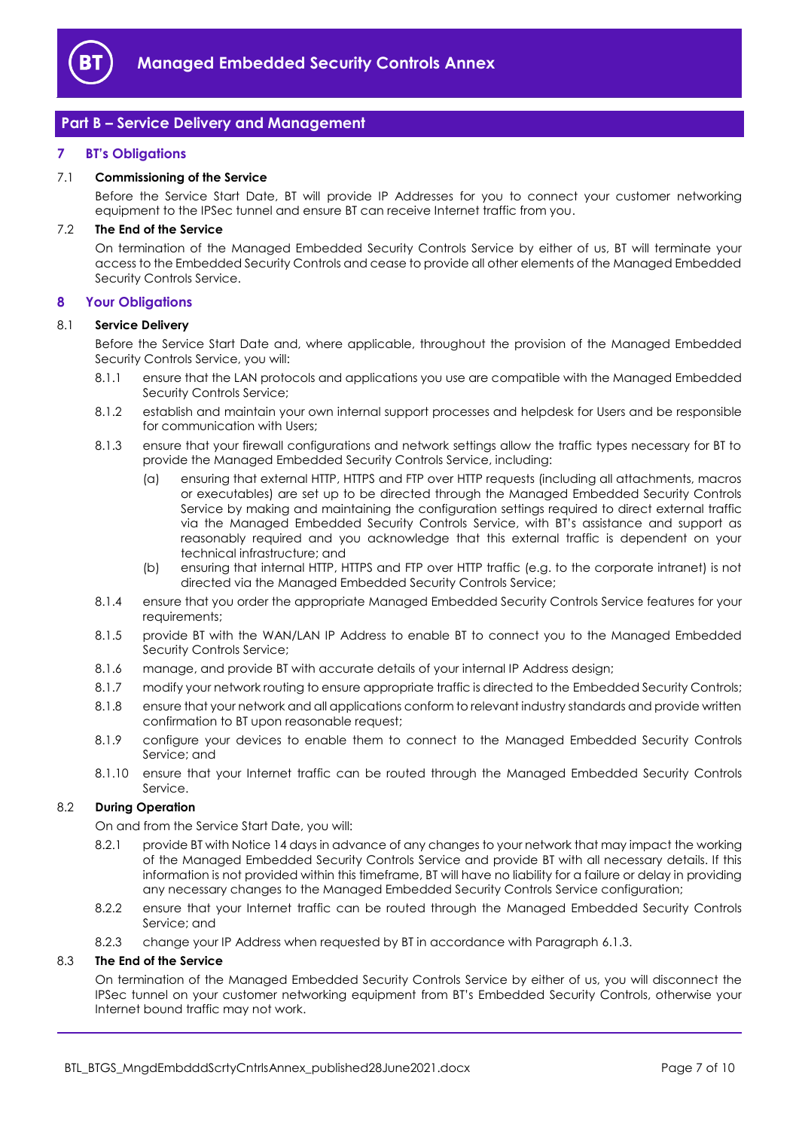

# <span id="page-6-0"></span>**Part B – Service Delivery and Management**

## <span id="page-6-1"></span>**7 BT's Obligations**

#### 7.1 **Commissioning of the Service**

Before the Service Start Date, BT will provide IP Addresses for you to connect your customer networking equipment to the IPSec tunnel and ensure BT can receive Internet traffic from you.

#### 7.2 **The End of the Service**

On termination of the Managed Embedded Security Controls Service by either of us, BT will terminate your access to the Embedded Security Controls and cease to provide all other elements of the Managed Embedded Security Controls Service.

#### <span id="page-6-2"></span>**8 Your Obligations**

#### 8.1 **Service Delivery**

Before the Service Start Date and, where applicable, throughout the provision of the Managed Embedded Security Controls Service, you will:

- 8.1.1 ensure that the LAN protocols and applications you use are compatible with the Managed Embedded Security Controls Service;
- 8.1.2 establish and maintain your own internal support processes and helpdesk for Users and be responsible for communication with Users;
- 8.1.3 ensure that your firewall configurations and network settings allow the traffic types necessary for BT to provide the Managed Embedded Security Controls Service, including:
	- (a) ensuring that external HTTP, HTTPS and FTP over HTTP requests (including all attachments, macros or executables) are set up to be directed through the Managed Embedded Security Controls Service by making and maintaining the configuration settings required to direct external traffic via the Managed Embedded Security Controls Service, with BT's assistance and support as reasonably required and you acknowledge that this external traffic is dependent on your technical infrastructure; and
	- (b) ensuring that internal HTTP, HTTPS and FTP over HTTP traffic (e.g. to the corporate intranet) is not directed via the Managed Embedded Security Controls Service;
- 8.1.4 ensure that you order the appropriate Managed Embedded Security Controls Service features for your requirements;
- 8.1.5 provide BT with the WAN/LAN IP Address to enable BT to connect you to the Managed Embedded Security Controls Service;
- 8.1.6 manage, and provide BT with accurate details of your internal IP Address design;
- 8.1.7 modify your network routing to ensure appropriate traffic is directed to the Embedded Security Controls;
- 8.1.8 ensure that your network and all applications conform to relevant industry standards and provide written confirmation to BT upon reasonable request;
- 8.1.9 configure your devices to enable them to connect to the Managed Embedded Security Controls Service; and
- 8.1.10 ensure that your Internet traffic can be routed through the Managed Embedded Security Controls Service.

## 8.2 **During Operation**

On and from the Service Start Date, you will:

- 8.2.1 provide BT with Notice 14 days in advance of any changes to your network that may impact the working of the Managed Embedded Security Controls Service and provide BT with all necessary details. If this information is not provided within this timeframe, BT will have no liability for a failure or delay in providing any necessary changes to the Managed Embedded Security Controls Service configuration;
- 8.2.2 ensure that your Internet traffic can be routed through the Managed Embedded Security Controls Service; and
- 8.2.3 change your IP Address when requested by BT in accordance with Paragrap[h 6.1.3.](#page-4-6)

# 8.3 **The End of the Service**

On termination of the Managed Embedded Security Controls Service by either of us, you will disconnect the IPSec tunnel on your customer networking equipment from BT's Embedded Security Controls, otherwise your Internet bound traffic may not work.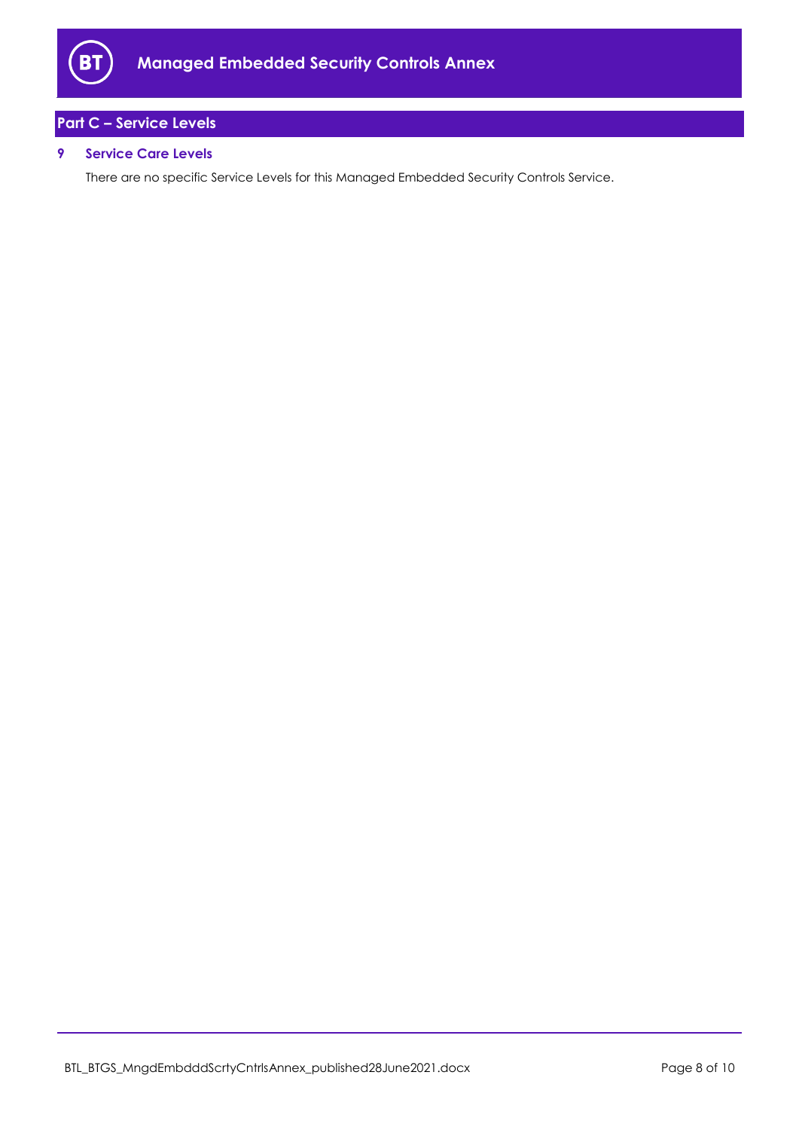

# <span id="page-7-0"></span>**Part C – Service Levels**

# <span id="page-7-1"></span>**9 Service Care Levels**

There are no specific Service Levels for this Managed Embedded Security Controls Service.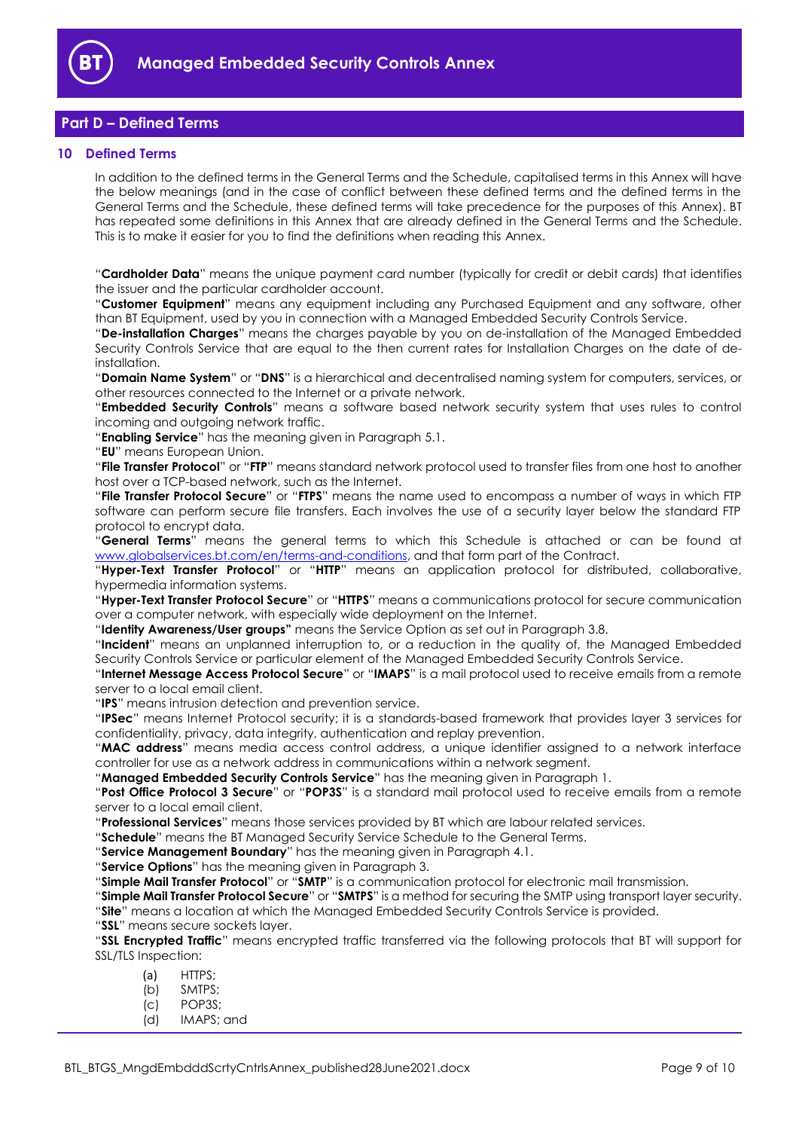

# <span id="page-8-0"></span>**Part D – Defined Terms**

# <span id="page-8-1"></span>**10 Defined Terms**

In addition to the defined terms in the General Terms and the Schedule, capitalised terms in this Annex will have the below meanings (and in the case of conflict between these defined terms and the defined terms in the General Terms and the Schedule, these defined terms will take precedence for the purposes of this Annex). BT has repeated some definitions in this Annex that are already defined in the General Terms and the Schedule. This is to make it easier for you to find the definitions when reading this Annex.

"**Cardholder Data**" means the unique payment card number (typically for credit or debit cards) that identifies the issuer and the particular cardholder account.

"**Customer Equipment**" means any equipment including any Purchased Equipment and any software, other than BT Equipment, used by you in connection with a Managed Embedded Security Controls Service.

"**De-installation Charges**" means the charges payable by you on de-installation of the Managed Embedded Security Controls Service that are equal to the then current rates for Installation Charges on the date of deinstallation.

"**Domain Name System**" or "**DNS**" is a hierarchical and decentralised naming system for computers, services, or other resources connected to the Internet or a private network.

"**Embedded Security Controls**" means a software based network security system that uses rules to control incoming and outgoing network traffic.

"**Enabling Service**" has the meaning given in Paragrap[h 5.1.](#page-4-7)

"**EU**" means European Union.

"**File Transfer Protocol**" or "**FTP**" means standard network protocol used to transfer files from one host to another host over a TCP-based network, such as the Internet.

"**File Transfer Protocol Secure**" or "**FTPS**" means the name used to encompass a number of ways in which FTP software can perform secure file transfers. Each involves the use of a security layer below the standard FTP protocol to encrypt data.

"**General Terms**" means the general terms to which this Schedule is attached or can be found at [www.globalservices.bt.com/en/terms-and-conditions,](https://www.globalservices.bt.com/en/terms-and-conditions) and that form part of the Contract.

"**Hyper-Text Transfer Protocol**" or "**HTTP**" means an application protocol for distributed, collaborative, hypermedia information systems.

"**Hyper-Text Transfer Protocol Secure**" or "**HTTPS**" means a communications protocol for secure communication over a computer network, with especially wide deployment on the Internet.

"**Identity Awareness/User groups"** means the Service Option as set out in Paragraph [3.8.](#page-3-1)

"**Incident**" means an unplanned interruption to, or a reduction in the quality of, the Managed Embedded Security Controls Service or particular element of the Managed Embedded Security Controls Service.

"**Internet Message Access Protocol Secure**" or "**IMAPS**" is a mail protocol used to receive emails from a remote server to a local email client.

"**IPS**" means intrusion detection and prevention service.

"**IPSec**" means Internet Protocol security; it is a standards-based framework that provides layer 3 services for confidentiality, privacy, data integrity, authentication and replay prevention.

"**MAC address**" means media access control address, a unique identifier assigned to a network interface controller for use as a network address in communications within a network segment.

"**Managed Embedded Security Controls Service**" has the meaning given in Paragraph [1.](#page-1-4)

"**Post Office Protocol 3 Secure**" or "**POP3S**" is a standard mail protocol used to receive emails from a remote server to a local email client.

"**Professional Services**" means those services provided by BT which are labour related services.

"**Schedule**" means the BT Managed Security Service Schedule to the General Terms.

"**Service Management Boundary**" has the meaning given in Paragrap[h 4.1.](#page-4-8)

"**Service Options**" has the meaning given in Paragraph [3.](#page-2-0)

"**Simple Mail Transfer Protocol**" or "**SMTP**" is a communication protocol for electronic mail transmission.

"**Simple Mail Transfer Protocol Secure**" or "**SMTPS**" is a method for securing the SMTP using transport layer security. "**Site**" means a location at which the Managed Embedded Security Controls Service is provided.

"**SSL**" means secure sockets layer.

"**SSL Encrypted Traffic**" means encrypted traffic transferred via the following protocols that BT will support for SSL/TLS Inspection:

(a) HTTPS;

- (b) SMTPS;
- (c) POP3S;
- (d) IMAPS; and